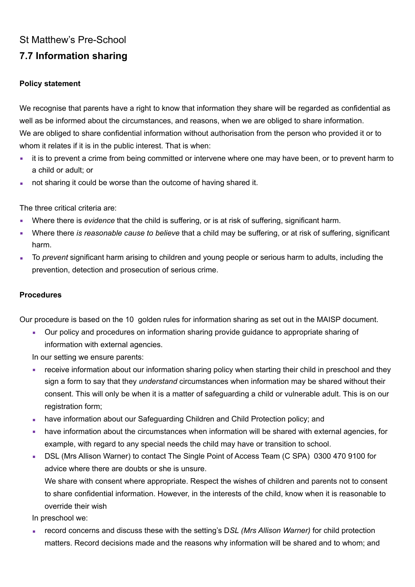## St Matthew's Pre-School **7.7 Information sharing**

## **Policy statement**

We recognise that parents have a right to know that information they share will be regarded as confidential as well as be informed about the circumstances, and reasons, when we are obliged to share information. We are obliged to share confidential information without authorisation from the person who provided it or to whom it relates if it is in the public interest. That is when:

- it is to prevent a crime from being committed or intervene where one may have been, or to prevent harm to a child or adult; or
- not sharing it could be worse than the outcome of having shared it.

The three critical criteria are:

- Where there is *evidence* that the child is suffering, or is at risk of suffering, significant harm.
- Where there *is reasonable cause to believe* that a child may be suffering, or at risk of suffering, significant harm.
- To *prevent* significant harm arising to children and young people or serious harm to adults, including the prevention, detection and prosecution of serious crime.

## **Procedures**

Our procedure is based on the 10 golden rules for information sharing as set out in the MAISP document.

• Our policy and procedures on information sharing provide quidance to appropriate sharing of information with external agencies.

In our setting we ensure parents:

- receive information about our information sharing policy when starting their child in preschool and they sign a form to say that they *understand* circumstances when information may be shared without their consent. This will only be when it is a matter of safeguarding a child or vulnerable adult. This is on our registration form;
- **have information about our Safeguarding Children and Child Protection policy; and**
- have information about the circumstances when information will be shared with external agencies, for example, with regard to any special needs the child may have or transition to school.
- **EXECTS LIGHT CONTEX 10 ASSETS IN SOCIOUS AREA** 10300 470 9100 for advice where there are doubts or she is unsure. We share with consent where appropriate. Respect the wishes of children and parents not to consent to share confidential information. However, in the interests of the child, know when it is reasonable to

override their wish

- In preschool we:
- record concerns and discuss these with the setting's DSL (Mrs Allison Warner) for child protection matters. Record decisions made and the reasons why information will be shared and to whom; and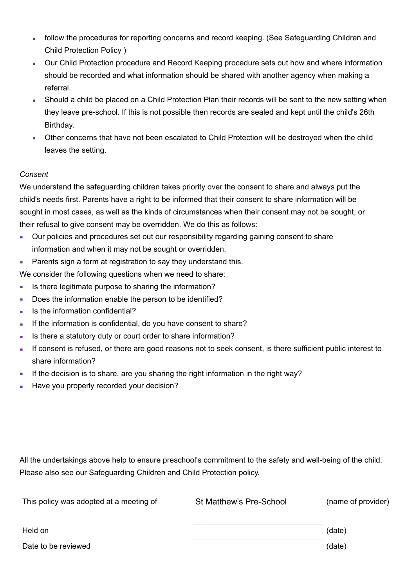- **follow the procedures for reporting concerns and record keeping. (See Safeguarding Children and** Child Protection Policy )
- Our Child Protection procedure and Record Keeping procedure sets out how and where information should be recorded and what information should be shared with another agency when making a referral.
- Should a child be placed on a Child Protection Plan their records will be sent to the new setting when they leave pre-school. If this is not possible then records are sealed and kept until the child's 26th Birthday.
- Other concerns that have not been escalated to Child Protection will be destroyed when the child leaves the setting.

## *Consent*

We understand the safeguarding children takes priority over the consent to share and always put the child's needs first. Parents have a right to be informed that their consent to share information will be sought in most cases, as well as the kinds of circumstances when their consent may not be sought, or their refusal to give consent may be overridden. We do this as follows:

- Our policies and procedures set out our responsibility regarding gaining consent to share information and when it may not be sought or overridden.
- Parents sign a form at registration to say they understand this.

We consider the following questions when we need to share:

- **EXECT** Is there legitimate purpose to sharing the information?
- Does the information enable the person to be identified?
- Is the information confidential?
- If the information is confidential, do you have consent to share?
- Is there a statutory duty or court order to share information?
- If consent is refused, or there are good reasons not to seek consent, is there sufficient public interest to share information?
- If the decision is to share, are you sharing the right information in the right way?
- **EXECT:** Have you properly recorded your decision?

All the undertakings above help to ensure preschool's commitment to the safety and well-being of the child. Please also see our Safeguarding Children and Child Protection policy.

| This policy was adopted at a meeting of | St Matthew's Pre-School | (name of provider) |
|-----------------------------------------|-------------------------|--------------------|
| Held on                                 |                         | (date)             |
| Date to be reviewed                     |                         | (date)             |